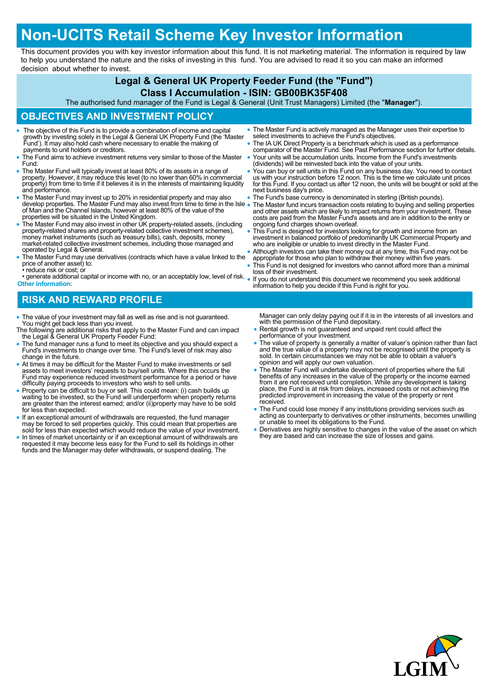# **Non-UCITS Retail Scheme Key Investor Information**

This document provides you with key investor information about this fund. It is not marketing material. The information is required by law to help you understand the nature and the risks of investing in this fund. You are advised to read it so you can make an informed decision about whether to invest.

## **Legal & General UK Property Feeder Fund (the "Fund")**

#### **Class I Accumulation - ISIN: GB00BK35F408**

The authorised fund manager of the Fund is Legal & General (Unit Trust Managers) Limited (the "**Manager**").

### **OBJECTIVES AND INVESTMENT POLICY**

- The objective of this Fund is to provide a combination of income and capital growth by investing solely in the Legal & General UK Property Fund (the 'Master Fund'). It may also hold cash where necessary to enable the making of payments to unit holders or creditors.
- The Fund aims to achieve investment returns very similar to those of the Master Fund.
- The Master Fund will typically invest at least 80% of its assets in a range of property. However, it may reduce this level (to no lower than 60% in commercial property) from time to time if it believes it is in the interests of maintaining liquidity and performance.
- The Master Fund may invest up to 20% in residential property and may also<br>develop properties. The Master Fund may also invest from time to time in the Isle<br>of Man and the Channel Islands, however at least 80% of the valu
- The Master Fund may also invest in other UK property-related assets, (including property-related shares and property-related collective investment schemes), money market instruments (such as treasury bills), cash, deposits, money market-related collective investment schemes, including those managed and operated by Legal & General.
- The Master Fund may use derivatives (contracts which have a value linked to the price of another asset) to: reduce risk or cost; or
- generate additional capital or income with no, or an acceptably low, level of risk. If you do not understand this document we recommend you seek additional **Other information:**
- The Master Fund is actively managed as the Manager uses their expertise to select investments to achieve the Fund's objectives.
- The IA UK Direct Property is a benchmark which is used as a performance comparator of the Master Fund. See Past Performance section for further details. Your units will be accumulation units. Income from the Fund's investments
- (dividends) will be reinvested back into the value of your units. You can buy or sell units in this Fund on any business day. You need to contact us with your instruction before 12 noon. This is the time we calculate unit prices for this Fund. If you contact us after 12 noon, the units will be bought or sold at the
- next business day's price.
- The Fund's base currency is denominated in sterling (British pounds). The Master fund incurs transaction costs relating to buying and selling properties and other assets which are likely to impact returns from your investment. These costs are paid from the Master Fund's assets and are in addition to the entry or ongoing fund charges shown overleaf.
- This Fund is designed for investors looking for growth and income from an investment in balanced portfolio of predominantly UK Commercial Property and who are ineligible or unable to invest directly in the Master Fund.
- Although investors can take their money out at any time, this Fund may not be appropriate for those who plan to withdraw their money within five years.
- This Fund is not designed for investors who cannot afford more than a minimal loss of their investment.
- information to help you decide if this Fund is right for you.

# **RISK AND REWARD PROFILE**

- The value of your investment may fall as well as rise and is not guaranteed. You might get back less than you invest.
- The following are additional risks that apply to the Master Fund and can impact the Legal & General UK Property Feeder Fund:
- The fund manager runs a fund to meet its objective and you should expect a Fund's investments to change over time. The Fund's level of risk may also change in the future.
- At times it may be difficult for the Master Fund to make investments or sell assets to meet investors' requests to buy/sell units. Where this occurs the Fund may experience reduced investment performance for a period or have difficulty paying proceeds to investors who wish to sell units.
- Property can be difficult to buy or sell. This could mean: (i) cash builds up waiting to be invested, so the Fund will underperform when property returns are greater than the interest earned; and/or (ii)property may have to be sold for less than expected.
- If an exceptional amount of withdrawals are requested, the fund manager<br>may be forced to sell properties quickly. This could mean that properties are<br>sold for less than expected which would reduce the value of your investm
- In times of market uncertainty or if an exceptional amount of withdrawals are requested it may become less easy for the Fund to sell its holdings in other funds and the Manager may defer withdrawals, or suspend dealing. The

Manager can only delay paying out if it is in the interests of all investors and with the permission of the Fund depositary.

- Rental growth is not guaranteed and unpaid rent could affect the performance of your investment.
- The value of property is generally a matter of valuer's opinion rather than fact<br>and the true value of a property may not be recognised until the property is<br>sold. In certain circumstances we may not be able to obtain a opinion and will apply our own valuation.
- The Master Fund will undertake development of properties where the full benefits of any increases in the value of the property or the income earned from it are not received until completion. While any development is taking place, the Fund is at risk from delays, increased costs or not achieving the predicted improvement in increasing the value of the property or rent received.
- The Fund could lose money if any institutions providing services such as acting as counterparty to derivatives or other instruments, becomes unwilling or unable to meet its obligations to the Fund.
- Derivatives are highly sensitive to changes in the value of the asset on which they are based and can increase the size of losses and gains.